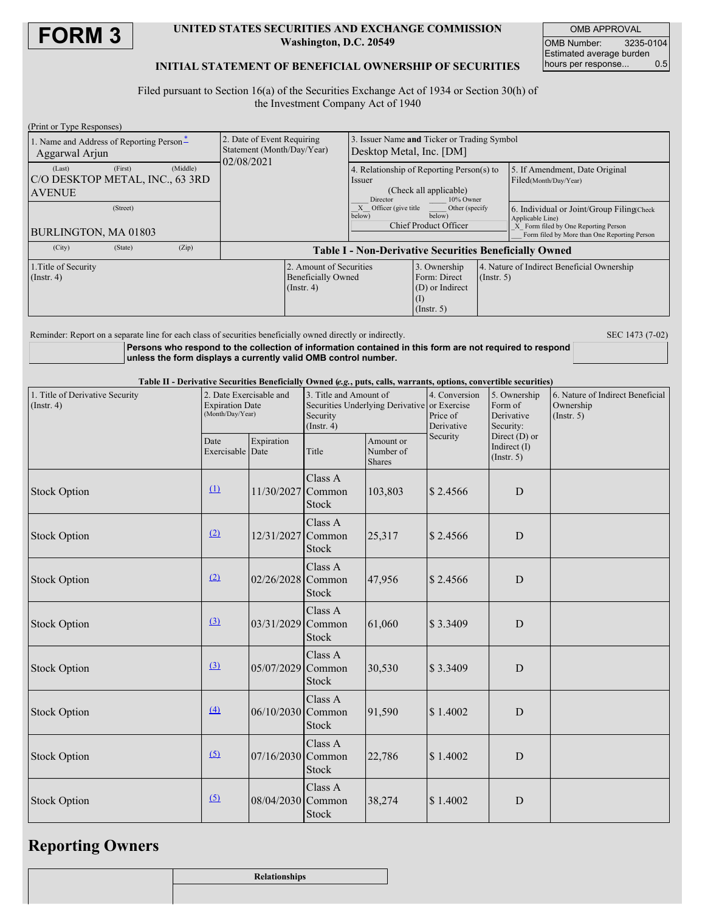

### **UNITED STATES SECURITIES AND EXCHANGE COMMISSION Washington, D.C. 20549**

OMB APPROVAL OMB Number: 3235-0104 Estimated average burden<br>hours per response... 0.5 hours per response...

## **INITIAL STATEMENT OF BENEFICIAL OWNERSHIP OF SECURITIES**

Filed pursuant to Section 16(a) of the Securities Exchange Act of 1934 or Section 30(h) of the Investment Company Act of 1940

| (Print or Type Responses)                                                                                                                                                                                                                                                                |                          |                                                                        |                                                             |                                                                                                        |                                                                                                                    |                                                                |                                                                                      |  |  |
|------------------------------------------------------------------------------------------------------------------------------------------------------------------------------------------------------------------------------------------------------------------------------------------|--------------------------|------------------------------------------------------------------------|-------------------------------------------------------------|--------------------------------------------------------------------------------------------------------|--------------------------------------------------------------------------------------------------------------------|----------------------------------------------------------------|--------------------------------------------------------------------------------------|--|--|
| 1. Name and Address of Reporting Person-<br>Aggarwal Arjun<br>(First)<br>(Middle)<br>(Last)<br>C/O DESKTOP METAL, INC., 63 3RD<br><b>AVENUE</b>                                                                                                                                          |                          | 2. Date of Event Requiring<br>Statement (Month/Day/Year)<br>02/08/2021 |                                                             | 3. Issuer Name and Ticker or Trading Symbol<br>Desktop Metal, Inc. [DM]                                |                                                                                                                    |                                                                |                                                                                      |  |  |
|                                                                                                                                                                                                                                                                                          |                          |                                                                        |                                                             | Issuer<br>Director                                                                                     | 4. Relationship of Reporting Person(s) to<br>(Check all applicable)<br>10% Owner                                   |                                                                | 5. If Amendment, Date Original<br>Filed(Month/Day/Year)                              |  |  |
| (Street)                                                                                                                                                                                                                                                                                 |                          |                                                                        |                                                             | X Officer (give title<br>below)                                                                        | Other (specify<br>below)                                                                                           |                                                                | 6. Individual or Joint/Group Filing(Check<br>Applicable Line)                        |  |  |
| BURLINGTON, MA 01803                                                                                                                                                                                                                                                                     |                          |                                                                        |                                                             | Chief Product Officer                                                                                  |                                                                                                                    |                                                                | X Form filed by One Reporting Person<br>Form filed by More than One Reporting Person |  |  |
| (City)<br>(State)<br>(Zip)                                                                                                                                                                                                                                                               |                          | Table I - Non-Derivative Securities Beneficially Owned                 |                                                             |                                                                                                        |                                                                                                                    |                                                                |                                                                                      |  |  |
| 1. Title of Security<br>$($ Instr. 4 $)$<br>$($ Instr. 4 $)$                                                                                                                                                                                                                             |                          |                                                                        | 2. Amount of Securities<br><b>Beneficially Owned</b><br>(I) |                                                                                                        | 3. Ownership<br>Form: Direct<br>(D) or Indirect<br>(Insert. 5)                                                     | 4. Nature of Indirect Beneficial Ownership<br>$($ Instr. 5 $)$ |                                                                                      |  |  |
| Reminder: Report on a separate line for each class of securities beneficially owned directly or indirectly.<br>Persons who respond to the collection of information contained in this form are not required to respond<br>unless the form displays a currently valid OMB control number. |                          |                                                                        |                                                             |                                                                                                        | Table II - Derivative Securities Beneficially Owned (e.g., puts, calls, warrants, options, convertible securities) |                                                                | SEC 1473 (7-02)                                                                      |  |  |
| 1. Title of Derivative Security<br>$($ Instr. 4 $)$                                                                                                                                                                                                                                      |                          | 2. Date Exercisable and<br><b>Expiration Date</b><br>(Month/Day/Year)  |                                                             | 3. Title and Amount of<br>Securities Underlying Derivative or Exercise<br>Security<br>$($ Instr. 4 $)$ |                                                                                                                    | 5. Ownership<br>Form of<br>Derivative<br>Security:             | 6. Nature of Indirect Beneficial<br>Ownership<br>$($ Instr. 5 $)$                    |  |  |
|                                                                                                                                                                                                                                                                                          | Date<br>Exercisable Date | Expiration                                                             | Title                                                       | Amount or<br>Number of<br><b>Shares</b>                                                                | Security                                                                                                           | Direct $(D)$ or<br>Indirect $(I)$<br>(Insert. 5)               |                                                                                      |  |  |
| <b>Stock Option</b>                                                                                                                                                                                                                                                                      | $\Omega$                 | 11/30/2027 Common                                                      | Class A<br><b>Stock</b>                                     | 103,803                                                                                                | \$2.4566                                                                                                           | D                                                              |                                                                                      |  |  |
| <b>Stock Option</b>                                                                                                                                                                                                                                                                      | (2)                      | 12/31/2027                                                             | Class A<br>Common<br>Stock                                  | 25,317                                                                                                 | \$2.4566                                                                                                           | D                                                              |                                                                                      |  |  |
| <b>Stock Option</b>                                                                                                                                                                                                                                                                      | (2)                      | 02/26/2028 Common                                                      | Class A<br><b>Stock</b>                                     | 47,956                                                                                                 | \$2.4566                                                                                                           | D                                                              |                                                                                      |  |  |
| <b>Stock Option</b>                                                                                                                                                                                                                                                                      | $\Omega$                 | $03/31/2029$ Common                                                    | Class A<br>Stock                                            | 61,060                                                                                                 | \$3.3409                                                                                                           | D                                                              |                                                                                      |  |  |
| <b>Stock Option</b>                                                                                                                                                                                                                                                                      | (3)                      | 05/07/2029 Common                                                      | Class A<br>Stock                                            | 30,530                                                                                                 | \$3.3409                                                                                                           | ${\bf D}$                                                      |                                                                                      |  |  |
| <b>Stock Option</b>                                                                                                                                                                                                                                                                      | (4)                      | 06/10/2030 Common                                                      | Class A<br>Stock                                            | 91,590                                                                                                 | \$1.4002                                                                                                           | ${\rm D}$                                                      |                                                                                      |  |  |
| <b>Stock Option</b>                                                                                                                                                                                                                                                                      | (5)                      | 07/16/2030 Common                                                      | Class A<br>Stock                                            | 22,786                                                                                                 | \$1.4002                                                                                                           | ${\rm D}$                                                      |                                                                                      |  |  |
| <b>Stock Option</b>                                                                                                                                                                                                                                                                      | (5)                      | 08/04/2030 Common                                                      | Class A<br>Stock                                            | 38,274                                                                                                 | \$1.4002                                                                                                           | $\mathbf D$                                                    |                                                                                      |  |  |

# **Reporting Owners**

| Relationships |
|---------------|
|               |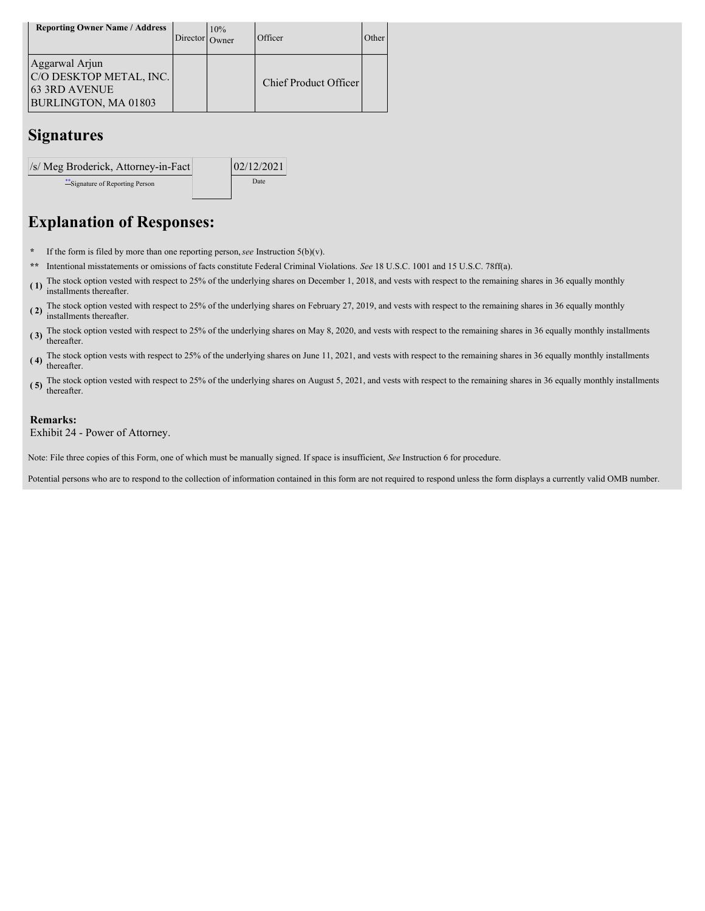| <b>Reporting Owner Name / Address</b>                                                     | Director Owner | 10% | Officer                      | Other |
|-------------------------------------------------------------------------------------------|----------------|-----|------------------------------|-------|
| Aggarwal Arjun<br>C/O DESKTOP METAL, INC.<br><b>63 3RD AVENUE</b><br>BURLINGTON, MA 01803 |                |     | <b>Chief Product Officer</b> |       |

## **Signatures**



# **Explanation of Responses:**

- **\*** If the form is filed by more than one reporting person,*see* Instruction 5(b)(v).
- **\*\*** Intentional misstatements or omissions of facts constitute Federal Criminal Violations. *See* 18 U.S.C. 1001 and 15 U.S.C. 78ff(a).
- **( 1)** The stock option vested with respect to 25% of the underlying shares on December 1, 2018, and vests with respect to the remaining shares in 36 equally monthly installments thereafter.
- **( 2)** The stock option vested with respect to 25% of the underlying shares on February 27, 2019, and vests with respect to the remaining shares in 36 equally monthly installments thereafter.
- **( 3)** The stock option vested with respect to 25% of the underlying shares on May 8, 2020, and vests with respect to the remaining shares in 36 equally monthly installments thereafter.
- **( 4)** The stock option vests with respect to 25% of the underlying shares on June 11, 2021, and vests with respect to the remaining shares in 36 equally monthly installments thereafter.
- **( 5)** The stock option vested with respect to 25% of the underlying shares on August 5, 2021, and vests with respect to the remaining shares in 36 equally monthly installments thereafter.

### **Remarks:**

Exhibit 24 - Power of Attorney.

Note: File three copies of this Form, one of which must be manually signed. If space is insufficient, *See* Instruction 6 for procedure.

Potential persons who are to respond to the collection of information contained in this form are not required to respond unless the form displays a currently valid OMB number.